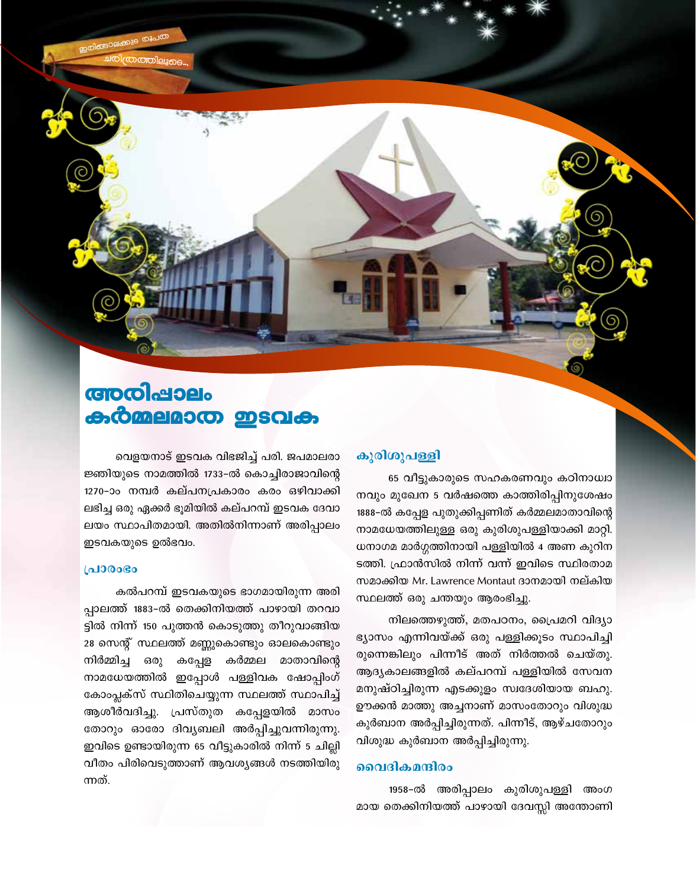അതിപ്പാലം കർമ്മലമാത ഇടവക

വെളയനാട് ഇടവക വിഭജിച്ച് പരി. ജപമാലരാ ജ്ഞിയുടെ നാമത്തിൽ 1733-ൽ കൊച്ചിരാജാവിന്റെ 1270-ാം നമ്പർ കല്പനപ്രകാരം കരം ഒഴിവാക്കി ലഭിച്ച ഒരു ഏക്കർ ഭുമിയിൽ കല്പറമ്പ് ഇടവക ദേവാ ലയം സ്ഥാപിതമായി. അതിൽനിന്നാണ് അരിപ്പാലം ഇടവകയുടെ ഉൽഭവം.

#### **LaJ00030**

കൽപറമ്പ് ഇടവകയുടെ ഭാഗമായിരുന്ന അരി പ്പാലത്ത് 1883-ൽ തെക്കിനിയത്ത് പാഴായി തറവാ ട്ടിൽ നിന്ന് 150 പുത്തൻ കൊടുത്തു തീറുവാങ്ങിയ 28 സെന്റ് സ്ഥലത്ത് മണ്ണുകൊണ്ടും ഓലകൊണ്ടും നിർമ്മിച്ച ഒരു കപ്പേള കർമ്മല മാതാവിന്റെ നാമധേയത്തിൽ ഇപ്പോൾ പള്ളിവക ഷോപ്പിംഗ് കോംപ്ലക്സ് സ്ഥിതിചെയ്യുന്ന സ്ഥലത്ത് സ്ഥാപിച്ച് ആശീർവദിച്ചു. പ്രസ്തുത കപ്പേളയിൽ മാസം തോറും ഓരോ ദിവ്യബലി അർപ്പിച്ചുവന്നിരുന്നു. ഇവിടെ ഉണ്ടായിരുന്ന 65 വീട്ടുകാരിൽ നിന്ന് 5 ചില്ലി വീതം പിരിവെടുത്താണ് ആവശ്യങ്ങൾ നടത്തിയിരു ന്നത്

### കുരിശുപള്ളി

65 വീട്ടുകാരുടെ സഹകരണവും കഠിനാധ്വാ നവും മുഖേന 5 വർഷത്തെ കാത്തിരിപ്പിനുശേഷം 1888-ൽ കപ്പേള പുതുക്കിപ്പണിത് കർമ്മലമാതാവിന്റെ നാമധേയത്തിലുള്ള ഒരു കുരിശുപള്ളിയാക്കി മാറ്റി. ധനാഗമ മാർഗ്ഗത്തിനായി പള്ളിയിൽ 4 അണ കുറിന ടത്തി. ഫ്രാൻസിൽ നിന്ന് വന്ന് ഇവിടെ സ്ഥിരതാമ സമാക്കിയ Mr. Lawrence Montaut ദാനമായി നല്കിയ സ്ഥലത്ത് ഒരു ചന്തയും ആരംഭിച്ചു.

നിലത്തെഴുത്ത്, മതപഠനം, പ്രൈമറി വിദ്യാ ഭ്യാസം എന്നിവയ്ക്ക് ഒരു പള്ളിക്കൂടം സ്ഥാപിച്ചി രുന്നെങ്കിലും പിന്നീട് അത് നിർത്തൽ ചെയ്തു. ആദ്യകാലങ്ങളിൽ കല്പറമ്പ് പള്ളിയിൽ സേവന മനുഷ്ഠിച്ചിരുന്ന എടക്കുളം സ്വദേശിയായ ബഹു. ഊക്കൻ മാത്തു അച്ചനാണ് മാസംതോറും വിശുദ്ധ കുർബാന അർപ്പിച്ചിരുന്നത്. പിന്നീട്, ആഴ്ചതോറും വിശുദ്ധ കുർബാന അർപ്പിച്ചിരുന്നു.

### വൈദികമന്ദിരം

1958-ൽ അരിപ്പാലം കുരിശുപള്ളി അംഗ മായ തെക്കിനിയത്ത് പാഴായി ദേവസ്സി അന്തോണി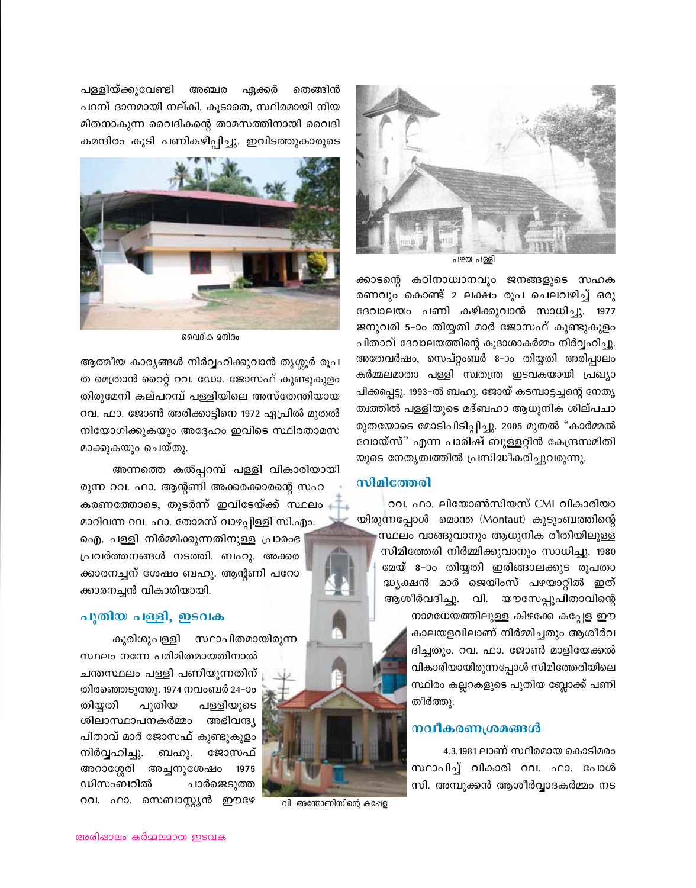

പഴയ പള്ളി

ക്കാടന്റെ കഠിനാധ്വാനവും ജനങ്ങളുടെ സഹക രണവും കൊണ്ട് 2 ലക്ഷം രൂപ ചെലവഴിച്ച് ഒരു ദേവാലയം പണി കഴിക്കുവാൻ സാധിച്ചു. 1977 ജനുവരി 5–ാം തിയ്യതി മാർ ജോസഫ് കുണ്ടുകുളം പിതാവ് ദേവാലയത്തിന്റെ കുദാശാകർമ്മം നിർവ്വഹിച്ചു. അതേവർഷം, സെപ്റ്റംബർ 8-ാം തിയ്യതി അരിപ്പാലം കർമ്മലമാതാ പള്ളി സ്വതന്ത്ര ഇടവകയായി പ്രഖ്യാ പിക്കപ്പെട്ടു. 1993–ൽ ബഹു. ജോയ് കടമ്പാട്ടച്ചന്റെ നേതൃ ത്വത്തിൽ പള്ളിയുടെ മദ്ബഹാ ആധുനിക ശില്പചാ രുതയോടെ മോടിപിടിപ്പിച്ചു. 2005 മുതൽ "കാർമ്മൽ വോയ്സ്" എന്ന പാരിഷ് ബുള്ളറ്റിൻ കേന്ദ്രസമിതി യുടെ നേതൃത്വത്തിൽ പ്രസിദ്ധീകരിച്ചുവരുന്നു.

### സിമിത്തേരി

വി. അന്തോണിസിന്റെ കപ്പേള

റവ. ഫാ. ലിയോൺസിയസ് CMI വികാരിയാ യിരുന്നപ്പോൾ മൊന്ത (Montaut) കുടുംബത്തിന്റെ സ്ഥലം വാങ്ങുവാനും ആധുനിക രീതിയിലുള്ള സിമിത്തേരി നിർമ്മിക്കുവാനും സാധിച്ചു. 1980 മേയ് 8-ാം തിയ്യതി ഇരിങ്ങാലക്കുട രൂപതാ ദ്ധ്യക്ഷൻ മാർ ജെയിംസ് പഴയാറ്റിൽ ഇത് ആശീർവദിച്ചു. വി. യൗസേപ്പുപിതാവിന്റെ നാമധേയത്തിലുള്ള കിഴക്കേ കപ്പേള ഈ കാലയളവിലാണ് നിർമ്മിച്ചതും ആശീർവ ദിച്ചതും. റവ. ഫാ. ജോൺ മാളിയേക്കൽ വികാരിയായിരുന്നപ്പോൾ സിമിത്തേരിയിലെ സ്ഥിരം കല്ലറകളുടെ പുതിയ ബ്ലോക്ക് പണി തീർത്തു.

### നവീകരണശ്രമങ്ങൾ

4.3.1981 ലാണ് സ്ഥിരമായ കൊടിമരം സ്ഥാപിച്ച് വികാരി റവ. ഫാ. പോൾ സി. അമ്പൂക്കൻ ആശീർവ്വാദകർമ്മം നട

തെങ്ങിൻ പള്ളിയ്ക്കുവേണ്ടി അഞ്ചര ഏക്കർ പറമ്പ് ദാനമായി നല്കി. കൂടാതെ, സ്ഥിരമായി നിയ മിതനാകുന്ന വൈദികന്റെ താമസത്തിനായി വൈദി കമന്ദിരം കൂടി പണികഴിപ്പിച്ചു. ഇവിടത്തുകാരുടെ



വൈദിക മന്ദിരം

ആത്മീയ കാര്യങ്ങൾ നിർവ്വഹിക്കുവാൻ തൃശ്ശൂർ രൂപ ത മെത്രാൻ റൈറ്റ് റവ. ഡോ. ജോസഫ് കുണ്ടുകുളം തിരുമേനി കല്പറമ്പ് പള്ളിയിലെ അസ്തേന്തിയായ റവ. ഫാ. ജോൺ അരിക്കാട്ടിനെ 1972 ഏപ്രിൽ മുതൽ നിയോഗിക്കുകയും അദ്ദേഹം ഇവിടെ സ്ഥിരതാമസ മാക്കുകയും ചെയ്തു.

അന്നത്തെ കൽപ്പറമ്പ് പള്ളി വികാരിയായി

രുന്ന റവ. ഫാ. ആന്റണി അക്കരക്കാരന്റെ സഹ കരണത്തോടെ, തുടർന്ന് ഇവിടേയ്ക്ക് സ്ഥലം മാറിവന്ന റവ. ഫാ. തോമസ് വാഴപ്പിള്ളി സി.എം.

ഐ. പള്ളി നിർമ്മിക്കുന്നതിനുള്ള പ്രാരംഭ പ്രവർത്തനങ്ങൾ നടത്തി. ബഹു. അക്കര ക്കാരനച്ചന് ശേഷം ബഹു. ആന്റണി പറോ ക്കാരനച്ചൻ വികാരിയായി.

## പുതിയ പള്ളി, ഇടവക

കുരിശുപള്ളി സ്ഥാപിതമായിരുന്ന

സ്ഥലം നന്നേ പരിമിതമായതിനാൽ ചന്തസ്ഥലം പള്ളി പണിയുന്നതിന് തിരഞ്ഞെടുത്തു. 1974 നവംബർ 24–ാം പുതിയ പള്ളിയുടെ തിയ്യതി ശിലാസ്ഥാപനകർമ്മം അഭിവന്ദ്യ പിതാവ് മാർ ജോസഫ് കുണ്ടുകുളം നിർവ്വഹിച്ചു. ബഹു. ജോസഫ് അറാശ്ശേരി അച്ചനുശേഷം 1975 ഡിസംബറിൽ ചാർജെടുത്ത റവ. ഫാ. സെബാസ്റ്റ്യൻ ഈഴേ